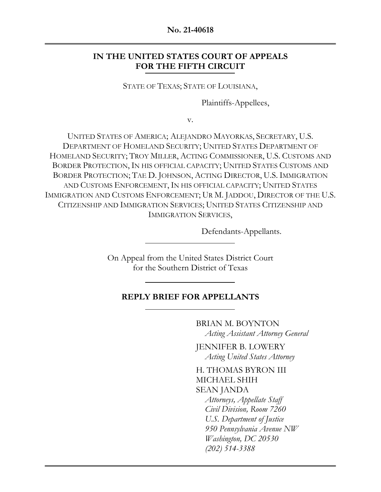#### **No. 21-40618**

## **IN THE UNITED STATES COURT OF APPEALS FOR THE FIFTH CIRCUIT**

STATE OF TEXAS; STATE OF LOUISIANA,

Plaintiffs-Appellees,

v.

UNITED STATES OF AMERICA; ALEJANDRO MAYORKAS, SECRETARY, U.S. DEPARTMENT OF HOMELAND SECURITY; UNITED STATES DEPARTMENT OF HOMELAND SECURITY; TROY MILLER, ACTING COMMISSIONER, U.S. CUSTOMS AND BORDER PROTECTION, IN HIS OFFICIAL CAPACITY; UNITED STATES CUSTOMS AND BORDER PROTECTION; TAE D. JOHNSON, ACTING DIRECTOR, U.S. IMMIGRATION AND CUSTOMS ENFORCEMENT, IN HIS OFFICIAL CAPACITY; UNITED STATES IMMIGRATION AND CUSTOMS ENFORCEMENT; UR M. JADDOU, DIRECTOR OF THE U.S. CITIZENSHIP AND IMMIGRATION SERVICES; UNITED STATES CITIZENSHIP AND IMMIGRATION SERVICES,

Defendants-Appellants.

On Appeal from the United States District Court for the Southern District of Texas

### **REPLY BRIEF FOR APPELLANTS**

BRIAN M. BOYNTON *Acting Assistant Attorney General* 

JENNIFER B. LOWERY *Acting United States Attorney* 

H. THOMAS BYRON III MICHAEL SHIH SEAN JANDA *Attorneys, Appellate Staff Civil Division, Room 7260 U.S. Department of Justice 950 Pennsylvania Avenue NW Washington, DC 20530 (202) 514-3388*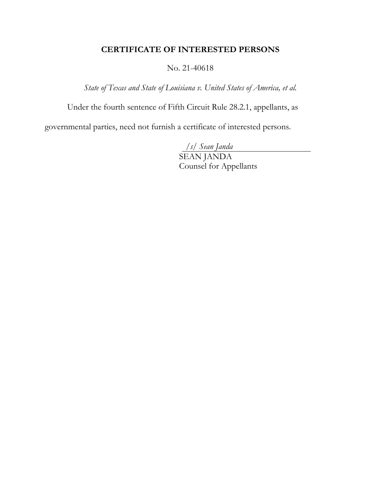# **CERTIFICATE OF INTERESTED PERSONS**

#### No. 21-40618

*State of Texas and State of Louisiana v. United States of America, et al.*

Under the fourth sentence of Fifth Circuit Rule 28.2.1, appellants, as

governmental parties, need not furnish a certificate of interested persons.

*/s/ Sean Janda* 

 SEAN JANDA Counsel for Appellants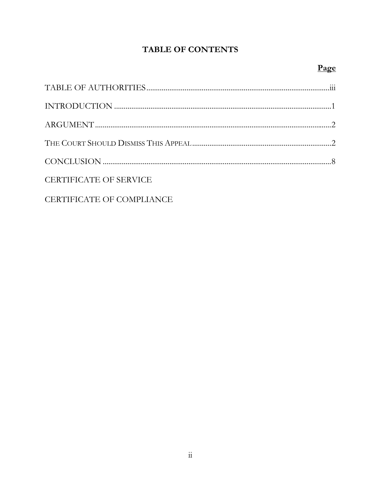# **TABLE OF CONTENTS**

| <b>CERTIFICATE OF SERVICE</b>    |  |
|----------------------------------|--|
| <b>CERTIFICATE OF COMPLIANCE</b> |  |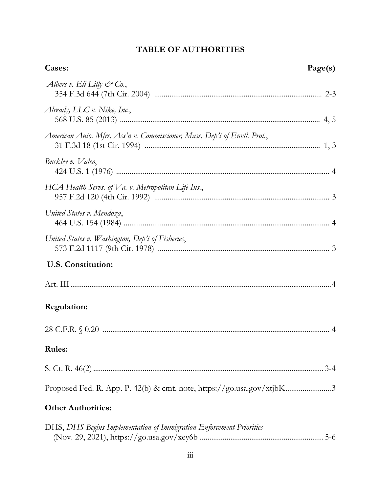# **TABLE OF AUTHORITIES**

| Cases:<br>Page(s)                                                        |  |
|--------------------------------------------------------------------------|--|
| Albers v. Eli Lilly $\mathcal{C}^{\infty}$ Co.,                          |  |
| Already, LLC v. Nike, Inc.,                                              |  |
| American Auto. Mfrs. Ass'n v. Commissioner, Mass. Dep't of Envtl. Prot., |  |
| Buckley v. Valeo,                                                        |  |
| HCA Health Servs. of Va. v. Metropolitan Life Ins.,                      |  |
| United States v. Mendoza,                                                |  |
| United States v. Washington, Dep't of Fisheries,                         |  |
| <b>U.S. Constitution:</b>                                                |  |
|                                                                          |  |
| <b>Regulation:</b>                                                       |  |
|                                                                          |  |
| <b>Rules:</b>                                                            |  |
|                                                                          |  |
| Proposed Fed. R. App. P. 42(b) & cmt. note, https://go.usa.gov/xtjbK3    |  |
| <b>Other Authorities:</b>                                                |  |
| DHS, DHS Begins Implementation of Immigration Enforcement Priorities     |  |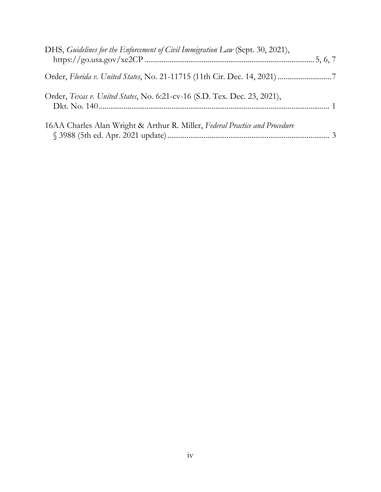| DHS, Guidelines for the Enforcement of Civil Immigration Law (Sept. 30, 2021), |  |
|--------------------------------------------------------------------------------|--|
|                                                                                |  |
| Order, Texas v. United States, No. 6:21-cv-16 (S.D. Tex. Dec. 23, 2021),       |  |
| 16AA Charles Alan Wright & Arthur R. Miller, Federal Practice and Procedure    |  |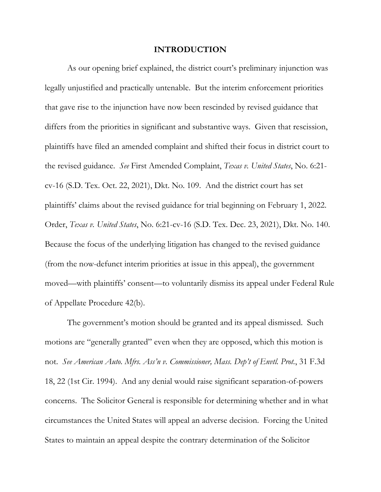#### **INTRODUCTION**

As our opening brief explained, the district court's preliminary injunction was legally unjustified and practically untenable. But the interim enforcement priorities that gave rise to the injunction have now been rescinded by revised guidance that differs from the priorities in significant and substantive ways. Given that rescission, plaintiffs have filed an amended complaint and shifted their focus in district court to the revised guidance. *See* First Amended Complaint, *Texas v. United States*, No. 6:21 cv-16 (S.D. Tex. Oct. 22, 2021), Dkt. No. 109. And the district court has set plaintiffs' claims about the revised guidance for trial beginning on February 1, 2022. Order, *Texas v. United States*, No. 6:21-cv-16 (S.D. Tex. Dec. 23, 2021), Dkt. No. 140. Because the focus of the underlying litigation has changed to the revised guidance (from the now-defunct interim priorities at issue in this appeal), the government moved—with plaintiffs' consent—to voluntarily dismiss its appeal under Federal Rule of Appellate Procedure 42(b).

The government's motion should be granted and its appeal dismissed. Such motions are "generally granted" even when they are opposed, which this motion is not. *See American Auto. Mfrs. Ass'n v. Commissioner, Mass. Dep't of Envtl. Prot.*, 31 F.3d 18, 22 (1st Cir. 1994). And any denial would raise significant separation-of-powers concerns. The Solicitor General is responsible for determining whether and in what circumstances the United States will appeal an adverse decision. Forcing the United States to maintain an appeal despite the contrary determination of the Solicitor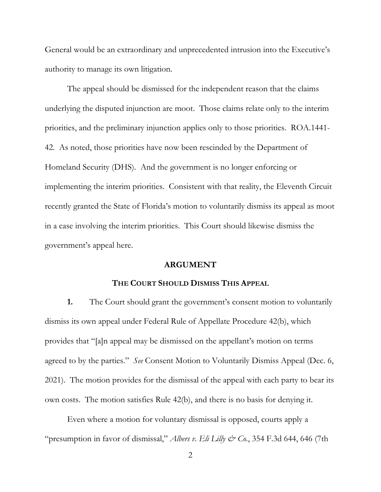General would be an extraordinary and unprecedented intrusion into the Executive's authority to manage its own litigation.

The appeal should be dismissed for the independent reason that the claims underlying the disputed injunction are moot. Those claims relate only to the interim priorities, and the preliminary injunction applies only to those priorities. ROA.1441- 42. As noted, those priorities have now been rescinded by the Department of Homeland Security (DHS). And the government is no longer enforcing or implementing the interim priorities. Consistent with that reality, the Eleventh Circuit recently granted the State of Florida's motion to voluntarily dismiss its appeal as moot in a case involving the interim priorities. This Court should likewise dismiss the government's appeal here.

#### **ARGUMENT**

#### **THE COURT SHOULD DISMISS THIS APPEAL**

**1.** The Court should grant the government's consent motion to voluntarily dismiss its own appeal under Federal Rule of Appellate Procedure 42(b), which provides that "[a]n appeal may be dismissed on the appellant's motion on terms agreed to by the parties." *See* Consent Motion to Voluntarily Dismiss Appeal (Dec. 6, 2021). The motion provides for the dismissal of the appeal with each party to bear its own costs. The motion satisfies Rule 42(b), and there is no basis for denying it.

Even where a motion for voluntary dismissal is opposed, courts apply a "presumption in favor of dismissal," *Albers v. Eli Lilly & Co.*, 354 F.3d 644, 646 (7th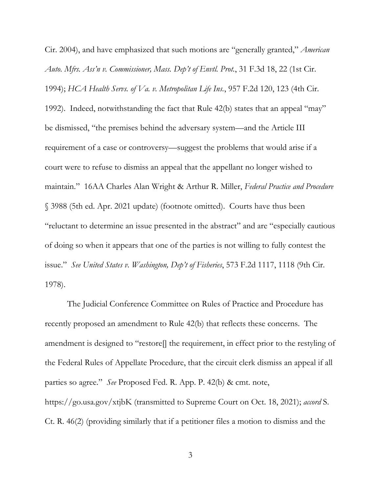Cir. 2004), and have emphasized that such motions are "generally granted," *American Auto. Mfrs. Ass'n v. Commissioner, Mass. Dep't of Envtl. Prot.*, 31 F.3d 18, 22 (1st Cir. 1994); *HCA Health Servs. of Va. v. Metropolitan Life Ins.*, 957 F.2d 120, 123 (4th Cir. 1992). Indeed, notwithstanding the fact that Rule 42(b) states that an appeal "may" be dismissed, "the premises behind the adversary system—and the Article III requirement of a case or controversy—suggest the problems that would arise if a court were to refuse to dismiss an appeal that the appellant no longer wished to maintain." 16AA Charles Alan Wright & Arthur R. Miller, *Federal Practice and Procedure* § 3988 (5th ed. Apr. 2021 update) (footnote omitted). Courts have thus been "reluctant to determine an issue presented in the abstract" and are "especially cautious of doing so when it appears that one of the parties is not willing to fully contest the issue." *See United States v. Washington, Dep't of Fisheries*, 573 F.2d 1117, 1118 (9th Cir. 1978).

The Judicial Conference Committee on Rules of Practice and Procedure has recently proposed an amendment to Rule 42(b) that reflects these concerns. The amendment is designed to "restore[] the requirement, in effect prior to the restyling of the Federal Rules of Appellate Procedure, that the circuit clerk dismiss an appeal if all parties so agree." *See* Proposed Fed. R. App. P. 42(b) & cmt. note, https://go.usa.gov/xtjbK (transmitted to Supreme Court on Oct. 18, 2021); *accord* S. Ct. R. 46(2) (providing similarly that if a petitioner files a motion to dismiss and the

3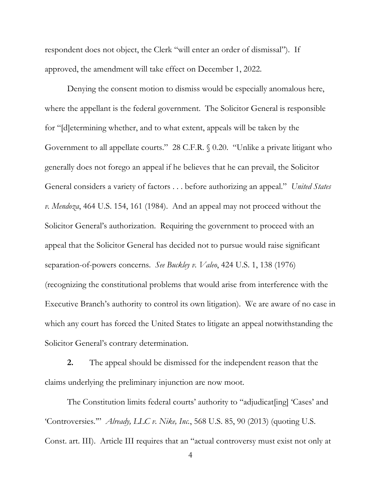respondent does not object, the Clerk "will enter an order of dismissal"). If approved, the amendment will take effect on December 1, 2022.

Denying the consent motion to dismiss would be especially anomalous here, where the appellant is the federal government. The Solicitor General is responsible for "[d]etermining whether, and to what extent, appeals will be taken by the Government to all appellate courts." 28 C.F.R. § 0.20. "Unlike a private litigant who generally does not forego an appeal if he believes that he can prevail, the Solicitor General considers a variety of factors . . . before authorizing an appeal." *United States v. Mendoza*, 464 U.S. 154, 161 (1984). And an appeal may not proceed without the Solicitor General's authorization. Requiring the government to proceed with an appeal that the Solicitor General has decided not to pursue would raise significant separation-of-powers concerns. *See Buckley v. Valeo*, 424 U.S. 1, 138 (1976) (recognizing the constitutional problems that would arise from interference with the Executive Branch's authority to control its own litigation). We are aware of no case in which any court has forced the United States to litigate an appeal notwithstanding the Solicitor General's contrary determination.

**2.** The appeal should be dismissed for the independent reason that the claims underlying the preliminary injunction are now moot.

The Constitution limits federal courts' authority to "adjudicat[ing] 'Cases' and 'Controversies.'" *Already, LLC v. Nike, Inc.*, 568 U.S. 85, 90 (2013) (quoting U.S. Const. art. III). Article III requires that an "actual controversy must exist not only at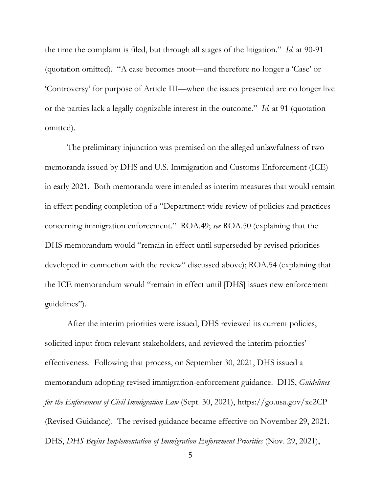the time the complaint is filed, but through all stages of the litigation." *Id.* at 90-91 (quotation omitted). "A case becomes moot—and therefore no longer a 'Case' or 'Controversy' for purpose of Article III—when the issues presented are no longer live or the parties lack a legally cognizable interest in the outcome." *Id.* at 91 (quotation omitted).

The preliminary injunction was premised on the alleged unlawfulness of two memoranda issued by DHS and U.S. Immigration and Customs Enforcement (ICE) in early 2021. Both memoranda were intended as interim measures that would remain in effect pending completion of a "Department-wide review of policies and practices concerning immigration enforcement." ROA.49; *see* ROA.50 (explaining that the DHS memorandum would "remain in effect until superseded by revised priorities developed in connection with the review" discussed above); ROA.54 (explaining that the ICE memorandum would "remain in effect until [DHS] issues new enforcement guidelines").

After the interim priorities were issued, DHS reviewed its current policies, solicited input from relevant stakeholders, and reviewed the interim priorities' effectiveness. Following that process, on September 30, 2021, DHS issued a memorandum adopting revised immigration-enforcement guidance. DHS, *Guidelines for the Enforcement of Civil Immigration Law* (Sept. 30, 2021), https://go.usa.gov/xe2CP (Revised Guidance). The revised guidance became effective on November 29, 2021. DHS, *DHS Begins Implementation of Immigration Enforcement Priorities* (Nov. 29, 2021),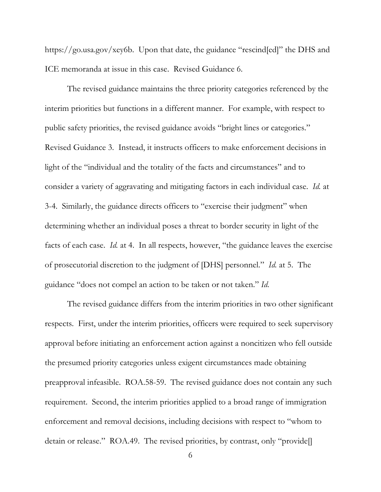https://go.usa.gov/xey6b. Upon that date, the guidance "rescind[ed]" the DHS and ICE memoranda at issue in this case. Revised Guidance 6.

The revised guidance maintains the three priority categories referenced by the interim priorities but functions in a different manner. For example, with respect to public safety priorities, the revised guidance avoids "bright lines or categories." Revised Guidance 3. Instead, it instructs officers to make enforcement decisions in light of the "individual and the totality of the facts and circumstances" and to consider a variety of aggravating and mitigating factors in each individual case. *Id.* at 3-4. Similarly, the guidance directs officers to "exercise their judgment" when determining whether an individual poses a threat to border security in light of the facts of each case. *Id.* at 4. In all respects, however, "the guidance leaves the exercise of prosecutorial discretion to the judgment of [DHS] personnel." *Id.* at 5. The guidance "does not compel an action to be taken or not taken." *Id.* 

The revised guidance differs from the interim priorities in two other significant respects. First, under the interim priorities, officers were required to seek supervisory approval before initiating an enforcement action against a noncitizen who fell outside the presumed priority categories unless exigent circumstances made obtaining preapproval infeasible. ROA.58-59. The revised guidance does not contain any such requirement. Second, the interim priorities applied to a broad range of immigration enforcement and removal decisions, including decisions with respect to "whom to detain or release." ROA.49. The revised priorities, by contrast, only "provide[]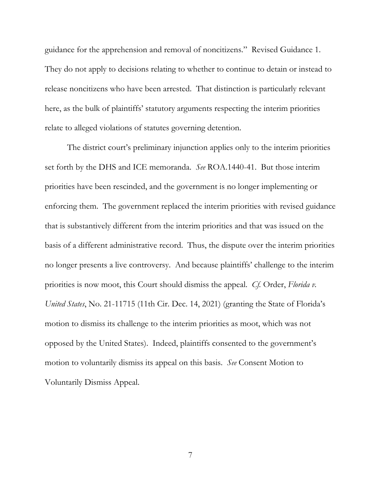guidance for the apprehension and removal of noncitizens." Revised Guidance 1. They do not apply to decisions relating to whether to continue to detain or instead to release noncitizens who have been arrested. That distinction is particularly relevant here, as the bulk of plaintiffs' statutory arguments respecting the interim priorities relate to alleged violations of statutes governing detention.

The district court's preliminary injunction applies only to the interim priorities set forth by the DHS and ICE memoranda. *See* ROA.1440-41. But those interim priorities have been rescinded, and the government is no longer implementing or enforcing them. The government replaced the interim priorities with revised guidance that is substantively different from the interim priorities and that was issued on the basis of a different administrative record. Thus, the dispute over the interim priorities no longer presents a live controversy. And because plaintiffs' challenge to the interim priorities is now moot, this Court should dismiss the appeal. *Cf.* Order, *Florida v. United States*, No. 21-11715 (11th Cir. Dec. 14, 2021) (granting the State of Florida's motion to dismiss its challenge to the interim priorities as moot, which was not opposed by the United States). Indeed, plaintiffs consented to the government's motion to voluntarily dismiss its appeal on this basis. *See* Consent Motion to Voluntarily Dismiss Appeal.

7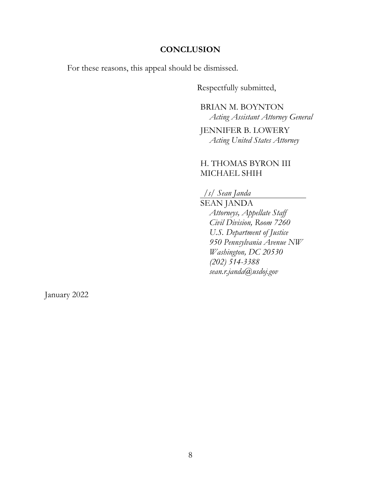#### **CONCLUSION**

For these reasons, this appeal should be dismissed.

Respectfully submitted,

BRIAN M. BOYNTON *Acting Assistant Attorney General* 

JENNIFER B. LOWERY *Acting United States Attorney* 

## H. THOMAS BYRON III MICHAEL SHIH

*/s/ Sean Janda* 

SEAN JANDA *Attorneys, Appellate Staff Civil Division, Room 7260 U.S. Department of Justice 950 Pennsylvania Avenue NW Washington, DC 20530 (202) 514-3388 sean.r.janda@usdoj.gov* 

January 2022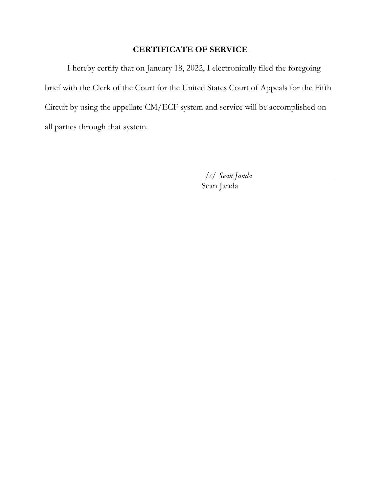# **CERTIFICATE OF SERVICE**

I hereby certify that on January 18, 2022, I electronically filed the foregoing brief with the Clerk of the Court for the United States Court of Appeals for the Fifth Circuit by using the appellate CM/ECF system and service will be accomplished on all parties through that system.

*/s/ Sean Janda* 

Sean Janda